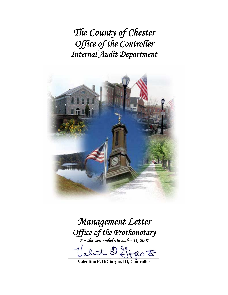*The County of Chester Office of the Controller Internal Audit Department* 



*Management Letter Office of the Prothonotary For the year ended December 31, 2007* 

fiorio <del>to</del>

**Valentino F. DiGiorgio, III, Controller**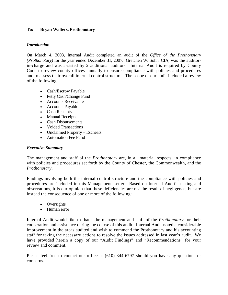#### **To: Bryan Walters, Prothonotary**

#### *Introduction*

On March 4, 2008, Internal Audit completed an audit of the *Office of the Prothonotary (Prothonotary)* for the year ended December 31, 2007. Gretchen W. Sohn, CIA, was the auditorin-charge and was assisted by 2 additional auditors. Internal Audit is required by County Code to review county offices annually to ensure compliance with policies and procedures and to assess their overall internal control structure. The scope of our audit included a review of the following:

- Cash/Escrow Payable
- Petty Cash/Change Fund
- Accounts Receivable
- Accounts Payable
- Cash Receipts
- Manual Receipts
- Cash Disbursements
- Voided Transactions
- Unclaimed Property Escheats.
- Automation Fee Fund

#### *Executive Summary*

The management and staff of the *Prothonotary* are, in all material respects, in compliance with policies and procedures set forth by the County of Chester, the Commonwealth, and the *Prothonotary*.

Findings involving both the internal control structure and the compliance with policies and procedures are included in this Management Letter. Based on Internal Audit's testing and observations, it is our opinion that these deficiencies are not the result of negligence, but are instead the consequence of one or more of the following:

- Oversights
- Human error

Internal Audit would like to thank the management and staff of the *Prothonotary* for their cooperation and assistance during the course of this audit. Internal Audit noted a considerable improvement in the areas audited and wish to commend the Prothonotary and his accounting staff for taking the necessary actions to resolve the issues addressed in last year's audit. We have provided herein a copy of our "Audit Findings" and "Recommendations" for your review and comment.

Please feel free to contact our office at (610) 344-6797 should you have any questions or concerns.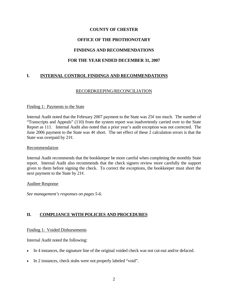# **COUNTY OF CHESTER**

# **OFFICE OF THE PROTHONOTARY**

# **FINDINGS AND RECOMMENDATIONS**

# **FOR THE YEAR ENDED DECEMBER 31, 2007**

# **I. INTERNAL CONTROL FINDINGS AND RECOMMENDATIONS**

## RECORDKEEPING/RECONCILIATION

#### Finding 1: Payments to the State

Internal Audit noted that the February 2007 payment to the State was  $25¢$  too much. The number of "Transcripts and Appeals" (110) from the system report was inadvertently carried over to the State Report as 111. Internal Audit also noted that a prior year's audit exception was not corrected. The June 2006 payment to the State was  $4\phi$  short. The net effect of these 2 calculation errors is that the State was overpaid by 21¢.

#### Recommendation

Internal Audit recommends that the bookkeeper be more careful when completing the monthly State report. Internal Audit also recommends that the check signers review more carefully the support given to them before signing the check. To correct the exceptions, the bookkeeper must short the next payment to the State by  $21¢$ .

#### Auditee Response

*See management's responses on pages 5-6.* 

## **II. COMPLIANCE WITH POLICIES AND PROCEDURES**

#### Finding 1: Voided Disbursements

Internal Audit noted the following:

- In 4 instances, the signature line of the original voided check was not cut-out and/or defaced.
- In 2 instances, check stubs were not properly labeled "void".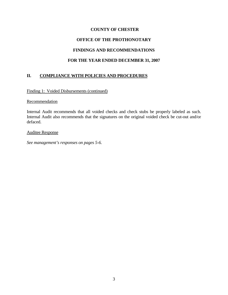# **COUNTY OF CHESTER**

# **OFFICE OF THE PROTHONOTARY**

# **FINDINGS AND RECOMMENDATIONS**

# **FOR THE YEAR ENDED DECEMBER 31, 2007**

# **II. COMPLIANCE WITH POLICIES AND PROCEDURES**

Finding 1: Voided Disbursements (continued)

#### **Recommendation**

Internal Audit recommends that all voided checks and check stubs be properly labeled as such. Internal Audit also recommends that the signatures on the original voided check be cut-out and/or defaced.

#### Auditee Response

*See management's responses on pages 5-6.*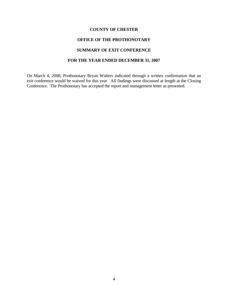#### **COUNTY OF CHESTER**

### **OFFICE OF THE PROTHONOTARY**

## **SUMMARY OF EXIT CONFERENCE**

### **FOR THE YEAR ENDED DECEMBER 31, 2007**

On March 4, 2008, Prothonotary Bryan Walters indicated through a written confirmation that an exit conference would be waived for this year. All findings were discussed at length at the Closing Conference. The Prothonotary has accepted the report and management letter as presented.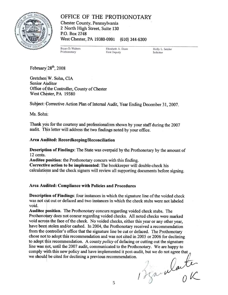

OFFICE OF THE PROTHONOTARY Chester County, Pennsylvania 2 North High Street, Suite 130 P.O. Box 2748 West Chester, PA 19380-0991 (610) 344-6300

Bryan D. Walters Prothonotary

Elizabeth A. Doan **First Deputy** 

Holly L. Setzler Solicitor

February  $28^{th}$ , 2008

Gretchen W. Sohn. CIA Senior Auditor Office of the Controller, County of Chester West Chester, PA 19380

Subject: Corrective Action Plan of Internal Audit, Year Ending December 31, 2007.

Ms. Sohn:

Thank you for the courtesy and professionalism shown by your staff during the 2007 audit. This letter will address the two findings noted by your office.

## Area Audited: Recordkeeping/Reconciliation

Description of Findings: The State was overpaid by the Prothonotary by the amount of 12 cents.

Auditee position: the Prothonotary concurs with this finding.

Correctiye action to be implemented: The bookkeeper will double-check his calculations and the check signers will review all supporting documents before signing.

## Area Audited: Compliance with Policies and Procedures

**Description of Findings:** four instances in which the signature line of the voided check **Description of Findings:** four instances in which the signature line of the voided check<br>was not cut out or defaced and two instances in which the check stubs were not labeled<br>yoid void.

Auditee position. The Prothonotary concurs regarding voided check stubs. The Prothonotary does not concur regarding voided checks. All noted checks were marked void across the face of the check. No voided checks, either this year or any other year, have been stolen and/or cashed. In 2004, the Prothonotary received a recommendation from the controller's office that the signature line be cut or defaced. The Prothonotary chose not to adopt this recommendation and was not cited in 2005 or 2006 for declining to adopt this recommendation. A county *policy* of defacing or cutting out the signature line was not, until the 2007 audit, communicated to the Prothonotary. We are happy to comply with this new policy and have implemented it post-audit, but we do not agree that we should be cited for declining a previous recommendation.

Beaulante